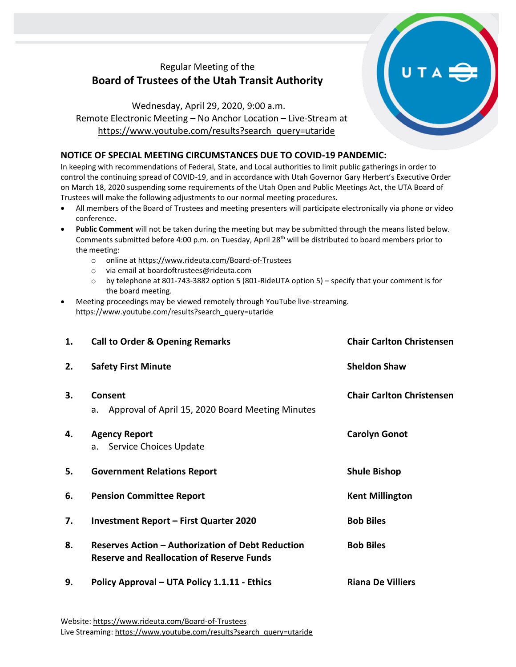## Regular Meeting of the **Board of Trustees of the Utah Transit Authority**

Wednesday, April 29, 2020, 9:00 a.m. Remote Electronic Meeting – No Anchor Location – Live-Stream at [https://www.youtube.com/results?search\\_query=utaride](https://www.youtube.com/results?search_query=utaride)

## **NOTICE OF SPECIAL MEETING CIRCUMSTANCES DUE TO COVID-19 PANDEMIC:**

In keeping with recommendations of Federal, State, and Local authorities to limit public gatherings in order to control the continuing spread of COVID-19, and in accordance with Utah Governor Gary Herbert's Executive Order on March 18, 2020 suspending some requirements of the Utah Open and Public Meetings Act, the UTA Board of Trustees will make the following adjustments to our normal meeting procedures.

- All members of the Board of Trustees and meeting presenters will participate electronically via phone or video conference.
- **Public Comment** will not be taken during the meeting but may be submitted through the means listed below. Comments submitted before 4:00 p.m. on Tuesday, April 28<sup>th</sup> will be distributed to board members prior to the meeting:
	- o online at<https://www.rideuta.com/Board-of-Trustees>
	- o via email at [boardoftrustees@rideuta.com](mailto:boardoftrustees@rideuta.com)
	- o by telephone at 801-743-3882 option 5 (801-RideUTA option 5) specify that your comment is for the board meeting.
- Meeting proceedings may be viewed remotely through YouTube live-streaming. [https://www.youtube.com/results?search\\_query=utaride](https://www.youtube.com/results?search_query=utaride)

| 1. | <b>Call to Order &amp; Opening Remarks</b>                                                            | <b>Chair Carlton Christensen</b> |
|----|-------------------------------------------------------------------------------------------------------|----------------------------------|
| 2. | <b>Safety First Minute</b>                                                                            | <b>Sheldon Shaw</b>              |
| 3. | Consent<br>a. Approval of April 15, 2020 Board Meeting Minutes                                        | <b>Chair Carlton Christensen</b> |
| 4. | <b>Agency Report</b><br>Service Choices Update<br>a.                                                  | <b>Carolyn Gonot</b>             |
| 5. | <b>Government Relations Report</b>                                                                    | <b>Shule Bishop</b>              |
| 6. | <b>Pension Committee Report</b>                                                                       | <b>Kent Millington</b>           |
| 7. | <b>Investment Report - First Quarter 2020</b>                                                         | <b>Bob Biles</b>                 |
| 8. | Reserves Action - Authorization of Debt Reduction<br><b>Reserve and Reallocation of Reserve Funds</b> | <b>Bob Biles</b>                 |
| 9. | Policy Approval - UTA Policy 1.1.11 - Ethics                                                          | <b>Riana De Villiers</b>         |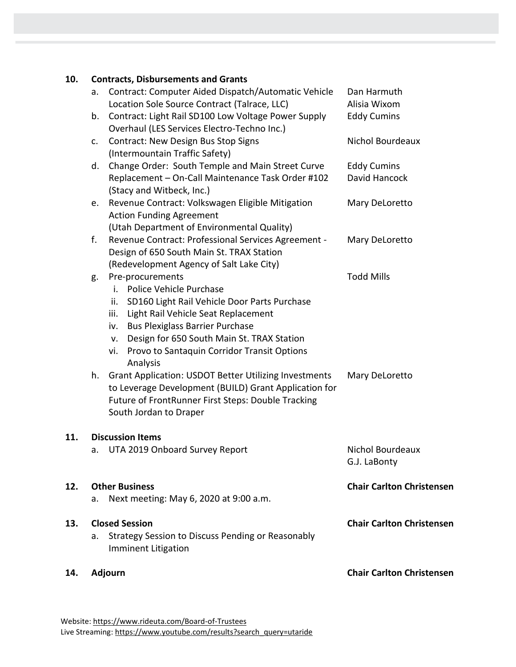| 10. |    | <b>Contracts, Disbursements and Grants</b>                                                                                                                                                                                                                                                                                       |                                     |
|-----|----|----------------------------------------------------------------------------------------------------------------------------------------------------------------------------------------------------------------------------------------------------------------------------------------------------------------------------------|-------------------------------------|
|     | a. | Contract: Computer Aided Dispatch/Automatic Vehicle<br>Location Sole Source Contract (Talrace, LLC)                                                                                                                                                                                                                              | Dan Harmuth<br>Alisia Wixom         |
|     | b. | Contract: Light Rail SD100 Low Voltage Power Supply<br>Overhaul (LES Services Electro-Techno Inc.)                                                                                                                                                                                                                               | <b>Eddy Cumins</b>                  |
|     | c. | <b>Contract: New Design Bus Stop Signs</b><br>(Intermountain Traffic Safety)                                                                                                                                                                                                                                                     | Nichol Bourdeaux                    |
|     | d. | Change Order: South Temple and Main Street Curve<br>Replacement - On-Call Maintenance Task Order #102<br>(Stacy and Witbeck, Inc.)                                                                                                                                                                                               | <b>Eddy Cumins</b><br>David Hancock |
|     | e. | Revenue Contract: Volkswagen Eligible Mitigation<br><b>Action Funding Agreement</b><br>(Utah Department of Environmental Quality)                                                                                                                                                                                                | Mary DeLoretto                      |
|     | f. | Revenue Contract: Professional Services Agreement -<br>Design of 650 South Main St. TRAX Station<br>(Redevelopment Agency of Salt Lake City)                                                                                                                                                                                     | Mary DeLoretto                      |
|     | g. | Pre-procurements<br>Police Vehicle Purchase<br>i. I<br>SD160 Light Rail Vehicle Door Parts Purchase<br>ii.<br>Light Rail Vehicle Seat Replacement<br>iii.<br><b>Bus Plexiglass Barrier Purchase</b><br>iv.<br>Design for 650 South Main St. TRAX Station<br>v.<br>Provo to Santaquin Corridor Transit Options<br>vi.<br>Analysis | <b>Todd Mills</b>                   |
|     | h. | <b>Grant Application: USDOT Better Utilizing Investments</b><br>to Leverage Development (BUILD) Grant Application for<br>Future of FrontRunner First Steps: Double Tracking<br>South Jordan to Draper                                                                                                                            | Mary DeLoretto                      |
| 11. |    | <b>Discussion Items</b>                                                                                                                                                                                                                                                                                                          |                                     |
|     |    | a. UTA 2019 Onboard Survey Report                                                                                                                                                                                                                                                                                                | Nichol Bourdeaux<br>G.J. LaBonty    |
| 12. | a. | <b>Other Business</b><br>Next meeting: May 6, 2020 at 9:00 a.m.                                                                                                                                                                                                                                                                  | <b>Chair Carlton Christensen</b>    |
| 13. | а. | <b>Closed Session</b><br>Strategy Session to Discuss Pending or Reasonably<br><b>Imminent Litigation</b>                                                                                                                                                                                                                         | <b>Chair Carlton Christensen</b>    |
| 14. |    | Adjourn                                                                                                                                                                                                                                                                                                                          | <b>Chair Carlton Christensen</b>    |